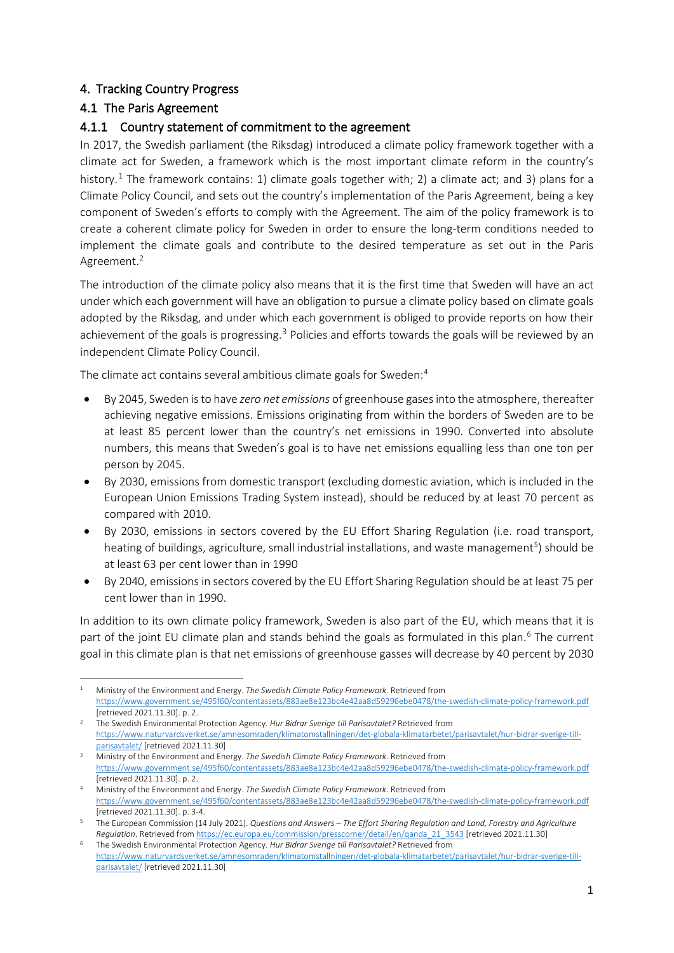## 4. Tracking Country Progress

## 4.1 The Paris Agreement

## 4.1.1 Country statement of commitment to the agreement

In 2017, the Swedish parliament (the Riksdag) introduced a climate policy framework together with a climate act for Sweden, a framework which is the most important climate reform in the country's history.<sup>[1](#page-0-0)</sup> The framework contains: 1) climate goals together with; 2) a climate act; and 3) plans for a Climate Policy Council, and sets out the country's implementation of the Paris Agreement, being a key component of Sweden's efforts to comply with the Agreement. The aim of the policy framework is to create a coherent climate policy for Sweden in order to ensure the long-term conditions needed to implement the climate goals and contribute to the desired temperature as set out in the Paris Agreement.<sup>2</sup>

The introduction of the climate policy also means that it is the first time that Sweden will have an act under which each government will have an obligation to pursue a climate policy based on climate goals adopted by the Riksdag, and under which each government is obliged to provide reports on how their achievement of the goals is progressing.<sup>[3](#page-0-2)</sup> Policies and efforts towards the goals will be reviewed by an independent Climate Policy Council.

The climate act contains several ambitious climate goals for Sweden:<sup>[4](#page-0-3)</sup>

- By 2045, Sweden is to have *zero net emissions* of greenhouse gases into the atmosphere, thereafter achieving negative emissions. Emissions originating from within the borders of Sweden are to be at least 85 percent lower than the country's net emissions in 1990. Converted into absolute numbers, this means that Sweden's goal is to have net emissions equalling less than one ton per person by 2045.
- By 2030, emissions from domestic transport (excluding domestic aviation, which is included in the European Union Emissions Trading System instead), should be reduced by at least 70 percent as compared with 2010.
- By 2030, emissions in sectors covered by the EU Effort Sharing Regulation (i.e. road transport, heating of buildings, agriculture, small industrial installations, and waste management<sup>[5](#page-0-4)</sup>) should be at least 63 per cent lower than in 1990
- By 2040, emissions in sectors covered by the EU Effort Sharing Regulation should be at least 75 per cent lower than in 1990.

In addition to its own climate policy framework, Sweden is also part of the EU, which means that it is part of the joint EU climate plan and stands behind the goals as formulated in this plan.<sup>[6](#page-0-5)</sup> The current goal in this climate plan is that net emissions of greenhouse gasses will decrease by 40 percent by 2030

<span id="page-0-0"></span><sup>1</sup> Ministry of the Environment and Energy. *The Swedish Climate Policy Framework.* Retrieved from <https://www.government.se/495f60/contentassets/883ae8e123bc4e42aa8d59296ebe0478/the-swedish-climate-policy-framework.pdf> [retrieved 2021.11.30]. p. 2.

<span id="page-0-1"></span><sup>2</sup> The Swedish Environmental Protection Agency. *Hur Bidrar Sverige till Parisavtalet?* Retrieved from [https://www.naturvardsverket.se/amnesomraden/klimatomstallningen/det-globala-klimatarbetet/parisavtalet/hur-bidrar-sverige-till](https://www.naturvardsverket.se/amnesomraden/klimatomstallningen/det-globala-klimatarbetet/parisavtalet/hur-bidrar-sverige-till-parisavtalet/)[parisavtalet/](https://www.naturvardsverket.se/amnesomraden/klimatomstallningen/det-globala-klimatarbetet/parisavtalet/hur-bidrar-sverige-till-parisavtalet/) [retrieved 2021.11.30]

<span id="page-0-2"></span><sup>3</sup> Ministry of the Environment and Energy. *The Swedish Climate Policy Framework.* Retrieved from <https://www.government.se/495f60/contentassets/883ae8e123bc4e42aa8d59296ebe0478/the-swedish-climate-policy-framework.pdf> [retrieved 2021.11.30]. p. 2.

<span id="page-0-3"></span><sup>4</sup> Ministry of the Environment and Energy. *The Swedish Climate Policy Framework.* Retrieved from <https://www.government.se/495f60/contentassets/883ae8e123bc4e42aa8d59296ebe0478/the-swedish-climate-policy-framework.pdf> [retrieved 2021.11.30]. p. 3-4.

<span id="page-0-4"></span><sup>5</sup> The European Commission (14 July 2021). *Questions and Answers – The Effort Sharing Regulation and Land, Forestry and Agriculture*  Regulation. Retrieved from https://ec.europa.eu/commission/presscorner/detail/en/ganda 21 3543 [\[](https://ec.europa.eu/commission/presscorner/detail/en/qanda_21_3543)retrieved 2021.11.30]<br>The Swedish Environmental Protection Agency. Hur Bidrar Sverige till Parisavtalet? Retrieved from

<span id="page-0-5"></span>[https://www.naturvardsverket.se/amnesomraden/klimatomstallningen/det-globala-klimatarbetet/parisavtalet/hur-bidrar-sverige-till](https://www.naturvardsverket.se/amnesomraden/klimatomstallningen/det-globala-klimatarbetet/parisavtalet/hur-bidrar-sverige-till-parisavtalet/)[parisavtalet/](https://www.naturvardsverket.se/amnesomraden/klimatomstallningen/det-globala-klimatarbetet/parisavtalet/hur-bidrar-sverige-till-parisavtalet/) [retrieved 2021.11.30]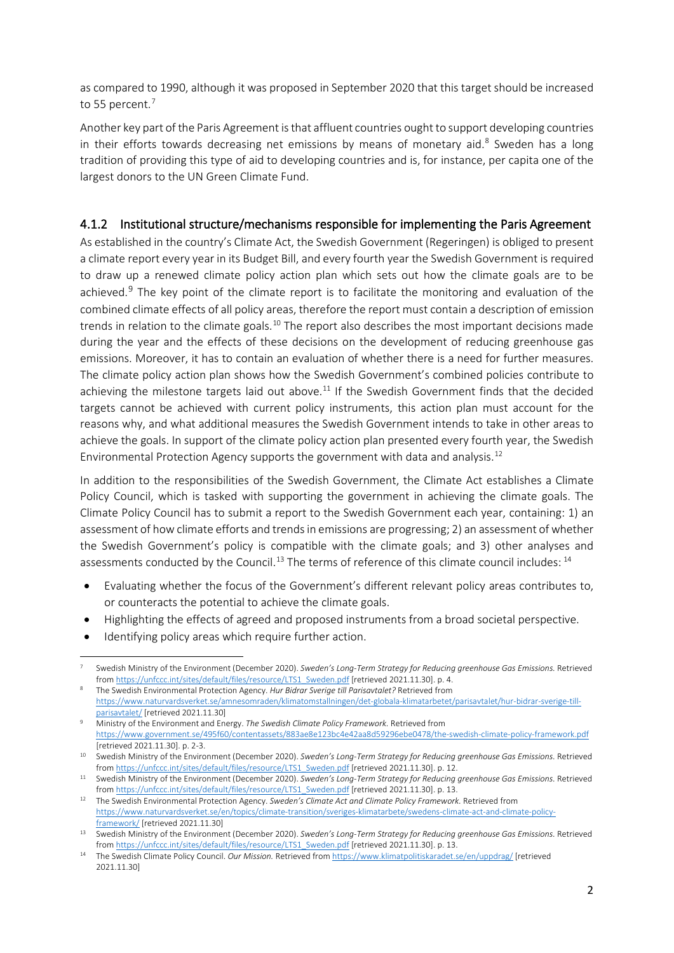as compared to 1990, although it was proposed in September 2020 that this target should be increased to 55 percent.<sup>[7](#page-1-0)</sup>

Another key part of the Paris Agreement is that affluent countries ought to support developing countries in their efforts towards decreasing net emissions by means of monetary aid. $8$  Sweden has a long tradition of providing this type of aid to developing countries and is, for instance, per capita one of the largest donors to the UN Green Climate Fund.

## 4.1.2 Institutional structure/mechanisms responsible for implementing the Paris Agreement

As established in the country's Climate Act, the Swedish Government (Regeringen) is obliged to present a climate report every year in its Budget Bill, and every fourth year the Swedish Government is required to draw up a renewed climate policy action plan which sets out how the climate goals are to be achieved.<sup>[9](#page-1-2)</sup> The key point of the climate report is to facilitate the monitoring and evaluation of the combined climate effects of all policy areas, therefore the report must contain a description of emission trends in relation to the climate goals.<sup>[10](#page-1-3)</sup> The report also describes the most important decisions made during the year and the effects of these decisions on the development of reducing greenhouse gas emissions. Moreover, it has to contain an evaluation of whether there is a need for further measures. The climate policy action plan shows how the Swedish Government's combined policies contribute to achieving the milestone targets laid out above.<sup>[11](#page-1-4)</sup> If the Swedish Government finds that the decided targets cannot be achieved with current policy instruments, this action plan must account for the reasons why, and what additional measures the Swedish Government intends to take in other areas to achieve the goals. In support of the climate policy action plan presented every fourth year, the Swedish Environmental Protection Agency supports the government with data and analysis.[12](#page-1-5)

In addition to the responsibilities of the Swedish Government, the Climate Act establishes a Climate Policy Council, which is tasked with supporting the government in achieving the climate goals. The Climate Policy Council has to submit a report to the Swedish Government each year, containing: 1) an assessment of how climate efforts and trends in emissions are progressing; 2) an assessment of whether the Swedish Government's policy is compatible with the climate goals; and 3) other analyses and assessments conducted by the Council.<sup>[13](#page-1-6)</sup> The terms of reference of this climate council includes: <sup>[14](#page-1-7)</sup>

- Evaluating whether the focus of the Government's different relevant policy areas contributes to, or counteracts the potential to achieve the climate goals.
- Highlighting the effects of agreed and proposed instruments from a broad societal perspective.
- Identifying policy areas which require further action.

<span id="page-1-0"></span><sup>7</sup> Swedish Ministry of the Environment (December 2020). *Sweden's Long-Term Strategy for Reducing greenhouse Gas Emissions.* Retrieved fro[m https://unfccc.int/sites/default/files/resource/LTS1\\_Sweden.pdf](https://unfccc.int/sites/default/files/resource/LTS1_Sweden.pdf) [retrieved 2021.11.30]. p. 4.

<span id="page-1-1"></span><sup>8</sup> The Swedish Environmental Protection Agency. *Hur Bidrar Sverige till Parisavtalet?* Retrieved from [https://www.naturvardsverket.se/amnesomraden/klimatomstallningen/det-globala-klimatarbetet/parisavtalet/hur-bidrar-sverige-till](https://www.naturvardsverket.se/amnesomraden/klimatomstallningen/det-globala-klimatarbetet/parisavtalet/hur-bidrar-sverige-till-parisavtalet/)[parisavtalet/](https://www.naturvardsverket.se/amnesomraden/klimatomstallningen/det-globala-klimatarbetet/parisavtalet/hur-bidrar-sverige-till-parisavtalet/) [retrieved 2021.11.30]

<span id="page-1-2"></span><sup>9</sup> Ministry of the Environment and Energy. *The Swedish Climate Policy Framework.* Retrieved from <https://www.government.se/495f60/contentassets/883ae8e123bc4e42aa8d59296ebe0478/the-swedish-climate-policy-framework.pdf> [retrieved 2021.11.30]. p. 2-3.

<span id="page-1-3"></span><sup>10</sup> Swedish Ministry of the Environment (December 2020). *Sweden's Long-Term Strategy for Reducing greenhouse Gas Emissions.* Retrieved fro[m https://unfccc.int/sites/default/files/resource/LTS1\\_Sweden.pdf](https://unfccc.int/sites/default/files/resource/LTS1_Sweden.pdf) [retrieved 2021.11.30]. p. 12.

<span id="page-1-4"></span><sup>11</sup> Swedish Ministry of the Environment (December 2020). *Sweden's Long-Term Strategy for Reducing greenhouse Gas Emissions.* Retrieved fro[m https://unfccc.int/sites/default/files/resource/LTS1\\_Sweden.pdf](https://unfccc.int/sites/default/files/resource/LTS1_Sweden.pdf) [retrieved 2021.11.30]. p. 13.

<span id="page-1-5"></span><sup>12</sup> The Swedish Environmental Protection Agency. *Sweden's Climate Act and Climate Policy Framework.* Retrieved from [https://www.naturvardsverket.se/en/topics/climate-transition/sveriges-klimatarbete/swedens-climate-act-and-climate-policy](https://www.naturvardsverket.se/en/topics/climate-transition/sveriges-klimatarbete/swedens-climate-act-and-climate-policy-framework/)[framework/](https://www.naturvardsverket.se/en/topics/climate-transition/sveriges-klimatarbete/swedens-climate-act-and-climate-policy-framework/) [retrieved 2021.11.30]

<span id="page-1-6"></span><sup>13</sup> Swedish Ministry of the Environment (December 2020). Sweden's Long-Term Strategy for Reducing greenhouse Gas Emissions. Retrieved fro[m https://unfccc.int/sites/default/files/resource/LTS1\\_Sweden.pdf](https://unfccc.int/sites/default/files/resource/LTS1_Sweden.pdf) [retrieved 2021.11.30]. p. 13.

<span id="page-1-7"></span><sup>14</sup> The Swedish Climate Policy Council. *Our Mission.* Retrieved fro[m https://www.klimatpolitiskaradet.se/en/uppdrag/](https://www.klimatpolitiskaradet.se/en/uppdrag/) [retrieved 2021.11.30]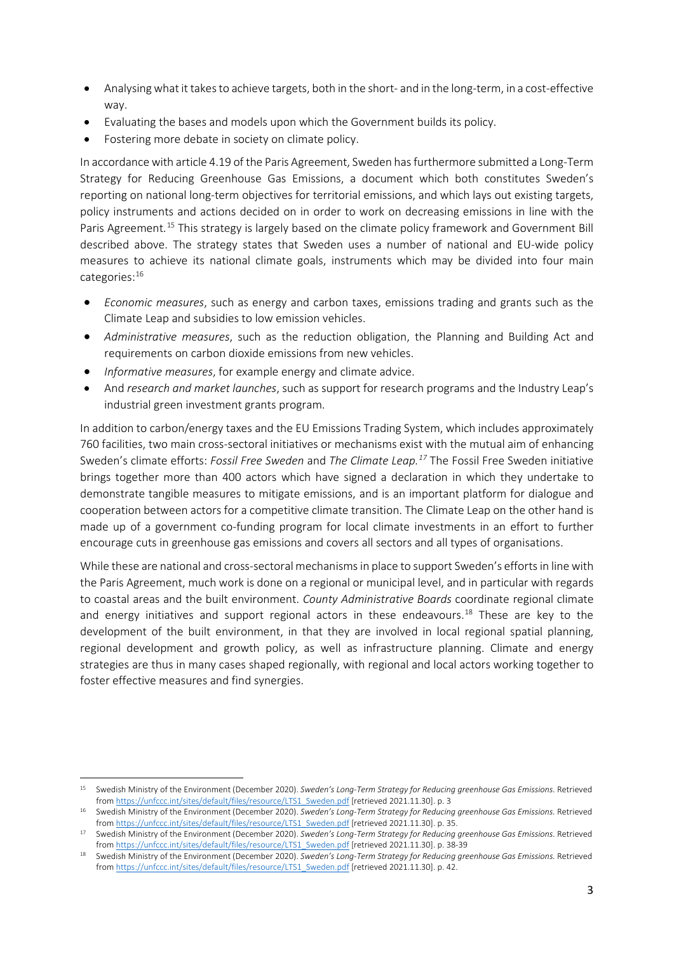- Analysing what it takes to achieve targets, both in the short- and in the long-term, in a cost-effective way.
- Evaluating the bases and models upon which the Government builds its policy.
- Fostering more debate in society on climate policy.

In accordance with article 4.19 of the Paris Agreement, Sweden has furthermore submitted a Long-Term Strategy for Reducing Greenhouse Gas Emissions, a document which both constitutes Sweden's reporting on national long-term objectives for territorial emissions, and which lays out existing targets, policy instruments and actions decided on in order to work on decreasing emissions in line with the Paris Agreement.<sup>[15](#page-2-0)</sup> This strategy is largely based on the climate policy framework and Government Bill described above. The strategy states that Sweden uses a number of national and EU-wide policy measures to achieve its national climate goals, instruments which may be divided into four main categories:[16](#page-2-1)

- *Economic measures*, such as energy and carbon taxes, emissions trading and grants such as the Climate Leap and subsidies to low emission vehicles.
- *Administrative measures*, such as the reduction obligation, the Planning and Building Act and requirements on carbon dioxide emissions from new vehicles.
- *Informative measures*, for example energy and climate advice.
- And *research and market launches*, such as support for research programs and the Industry Leap's industrial green investment grants program.

In addition to carbon/energy taxes and the EU Emissions Trading System, which includes approximately 760 facilities, two main cross-sectoral initiatives or mechanisms exist with the mutual aim of enhancing Sweden's climate efforts: *Fossil Free Sweden* and *The Climate Leap.[17](#page-2-2)* The Fossil Free Sweden initiative brings together more than 400 actors which have signed a declaration in which they undertake to demonstrate tangible measures to mitigate emissions, and is an important platform for dialogue and cooperation between actors for a competitive climate transition. The Climate Leap on the other hand is made up of a government co-funding program for local climate investments in an effort to further encourage cuts in greenhouse gas emissions and covers all sectors and all types of organisations.

While these are national and cross-sectoral mechanisms in place to support Sweden's efforts in line with the Paris Agreement, much work is done on a regional or municipal level, and in particular with regards to coastal areas and the built environment. *County Administrative Boards* coordinate regional climate and energy initiatives and support regional actors in these endeavours.<sup>[18](#page-2-3)</sup> These are key to the development of the built environment, in that they are involved in local regional spatial planning, regional development and growth policy, as well as infrastructure planning. Climate and energy strategies are thus in many cases shaped regionally, with regional and local actors working together to foster effective measures and find synergies.

<span id="page-2-0"></span><sup>15</sup> Swedish Ministry of the Environment (December 2020). *Sweden's Long-Term Strategy for Reducing greenhouse Gas Emissions.* Retrieved fro[m https://unfccc.int/sites/default/files/resource/LTS1\\_Sweden.pdf](https://unfccc.int/sites/default/files/resource/LTS1_Sweden.pdf) [retrieved 2021.11.30]. p. 3

<span id="page-2-1"></span><sup>&</sup>lt;sup>16</sup> Swedish Ministry of the Environment (December 2020). *Sweden's Long-Term Strategy for Reducing greenhouse Gas Emissions.* Retrieved fro[m https://unfccc.int/sites/default/files/resource/LTS1\\_Sweden.pdf](https://unfccc.int/sites/default/files/resource/LTS1_Sweden.pdf) [retrieved 2021.11.30]. p. 35.

<span id="page-2-2"></span><sup>17</sup> Swedish Ministry of the Environment (December 2020). *Sweden's Long-Term Strategy for Reducing greenhouse Gas Emissions.* Retrieved fro[m https://unfccc.int/sites/default/files/resource/LTS1\\_Sweden.pdf](https://unfccc.int/sites/default/files/resource/LTS1_Sweden.pdf) [retrieved 2021.11.30]. p. 38-39

<span id="page-2-3"></span><sup>18</sup> Swedish Ministry of the Environment (December 2020). Sweden's Long-Term Strategy for Reducing greenhouse Gas Emissions. Retrieved fro[m https://unfccc.int/sites/default/files/resource/LTS1\\_Sweden.pdf](https://unfccc.int/sites/default/files/resource/LTS1_Sweden.pdf) [retrieved 2021.11.30]. p. 42.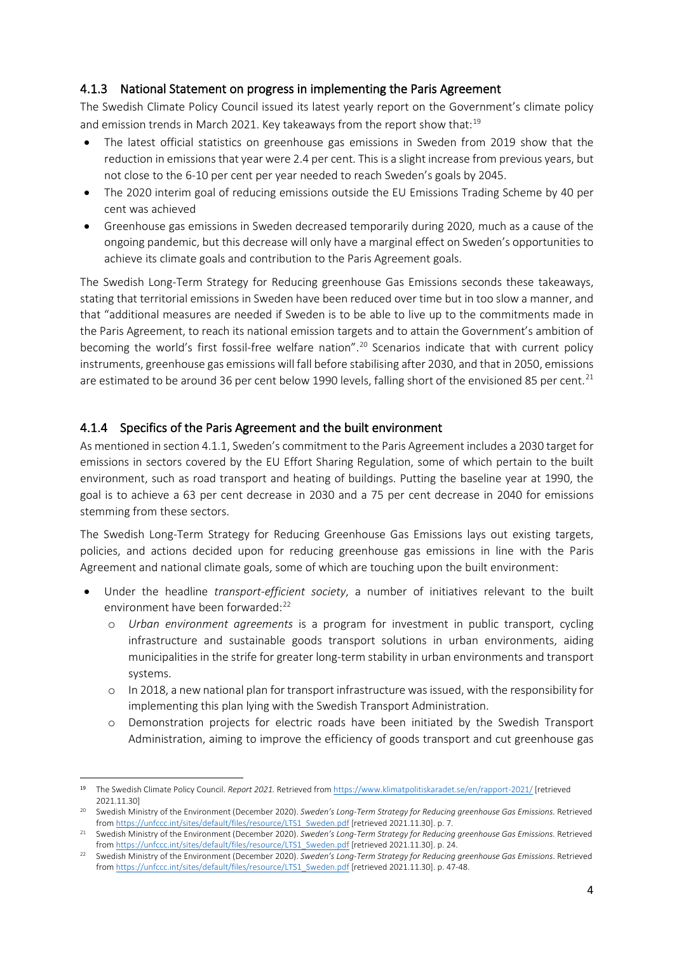### 4.1.3 National Statement on progress in implementing the Paris Agreement

The Swedish Climate Policy Council issued its latest yearly report on the Government's climate policy and emission trends in March 2021. Key takeaways from the report show that:<sup>19</sup>

- The latest official statistics on greenhouse gas emissions in Sweden from 2019 show that the reduction in emissions that year were 2.4 per cent. This is a slight increase from previous years, but not close to the 6-10 per cent per year needed to reach Sweden's goals by 2045.
- The 2020 interim goal of reducing emissions outside the EU Emissions Trading Scheme by 40 per cent was achieved
- Greenhouse gas emissions in Sweden decreased temporarily during 2020, much as a cause of the ongoing pandemic, but this decrease will only have a marginal effect on Sweden's opportunities to achieve its climate goals and contribution to the Paris Agreement goals.

The Swedish Long-Term Strategy for Reducing greenhouse Gas Emissions seconds these takeaways, stating that territorial emissions in Sweden have been reduced over time but in too slow a manner, and that "additional measures are needed if Sweden is to be able to live up to the commitments made in the Paris Agreement, to reach its national emission targets and to attain the Government's ambition of becoming the world's first fossil-free welfare nation".<sup>[20](#page-3-1)</sup> Scenarios indicate that with current policy instruments, greenhouse gas emissions will fall before stabilising after 2030, and that in 2050, emissions are estimated to be around 36 per cent below 1990 levels, falling short of the envisioned 85 per cent.<sup>[21](#page-3-2)</sup>

### 4.1.4 Specifics of the Paris Agreement and the built environment

As mentioned in section 4.1.1, Sweden's commitment to the Paris Agreement includes a 2030 target for emissions in sectors covered by the EU Effort Sharing Regulation, some of which pertain to the built environment, such as road transport and heating of buildings. Putting the baseline year at 1990, the goal is to achieve a 63 per cent decrease in 2030 and a 75 per cent decrease in 2040 for emissions stemming from these sectors.

The Swedish Long-Term Strategy for Reducing Greenhouse Gas Emissions lays out existing targets, policies, and actions decided upon for reducing greenhouse gas emissions in line with the Paris Agreement and national climate goals, some of which are touching upon the built environment:

- Under the headline *transport-efficient society*, a number of initiatives relevant to the built environment have been forwarded:<sup>[22](#page-3-3)</sup>
	- o *Urban environment agreements* is a program for investment in public transport, cycling infrastructure and sustainable goods transport solutions in urban environments, aiding municipalities in the strife for greater long-term stability in urban environments and transport systems.
	- o In 2018, a new national plan for transport infrastructure was issued, with the responsibility for implementing this plan lying with the Swedish Transport Administration.
	- o Demonstration projects for electric roads have been initiated by the Swedish Transport Administration, aiming to improve the efficiency of goods transport and cut greenhouse gas

<span id="page-3-0"></span><sup>19</sup> The Swedish Climate Policy Council. *Report 2021.* Retrieved fro[m https://www.klimatpolitiskaradet.se/en/rapport-2021/](https://www.klimatpolitiskaradet.se/en/rapport-2021/) [retrieved 2021.11.30]

<span id="page-3-1"></span><sup>&</sup>lt;sup>20</sup> Swedish Ministry of the Environment (December 2020). *Sweden's Long-Term Strategy for Reducing greenhouse Gas Emissions*. Retrieved fro[m https://unfccc.int/sites/default/files/resource/LTS1\\_Sweden.pdf](https://unfccc.int/sites/default/files/resource/LTS1_Sweden.pdf) [retrieved 2021.11.30]. p. 7.

<span id="page-3-2"></span><sup>&</sup>lt;sup>21</sup> Swedish Ministry of the Environment (December 2020). *Sweden's Long-Term Strategy for Reducing greenhouse Gas Emissions.* Retrieved fro[m https://unfccc.int/sites/default/files/resource/LTS1\\_Sweden.pdf](https://unfccc.int/sites/default/files/resource/LTS1_Sweden.pdf) [retrieved 2021.11.30]. p. 24.

<span id="page-3-3"></span><sup>&</sup>lt;sup>22</sup> Swedish Ministry of the Environment (December 2020). Sweden's Long-Term Strategy for Reducing greenhouse Gas Emissions. Retrieved fro[m https://unfccc.int/sites/default/files/resource/LTS1\\_Sweden.pdf](https://unfccc.int/sites/default/files/resource/LTS1_Sweden.pdf) [retrieved 2021.11.30]. p. 47-48.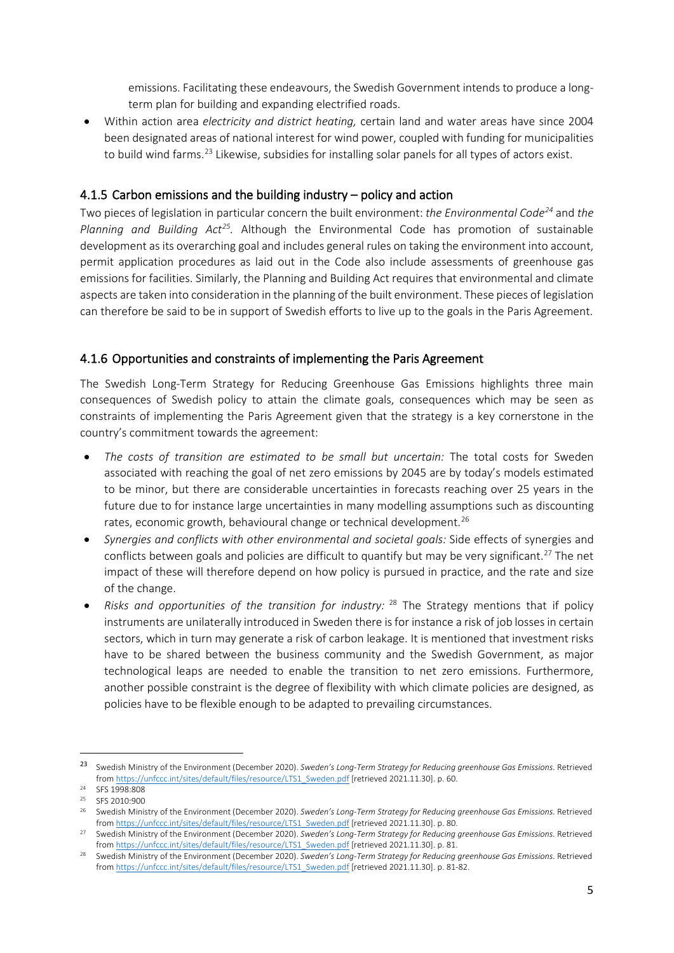emissions. Facilitating these endeavours, the Swedish Government intends to produce a longterm plan for building and expanding electrified roads.

• Within action area *electricity and district heating,* certain land and water areas have since 2004 been designated areas of national interest for wind power, coupled with funding for municipalities to build wind farms.<sup>[23](#page-4-0)</sup> Likewise, subsidies for installing solar panels for all types of actors exist.

### 4.1.5 Carbon emissions and the building industry – policy and action

Two pieces of legislation in particular concern the built environment: *the Environmental Code[24](#page-4-1)* and *the Planning and Building Act[25.](#page-4-2)* Although the Environmental Code has promotion of sustainable development as its overarching goal and includes general rules on taking the environment into account, permit application procedures as laid out in the Code also include assessments of greenhouse gas emissions for facilities. Similarly, the Planning and Building Act requires that environmental and climate aspects are taken into consideration in the planning of the built environment. These pieces of legislation can therefore be said to be in support of Swedish efforts to live up to the goals in the Paris Agreement.

# 4.1.6 Opportunities and constraints of implementing the Paris Agreement

The Swedish Long-Term Strategy for Reducing Greenhouse Gas Emissions highlights three main consequences of Swedish policy to attain the climate goals, consequences which may be seen as constraints of implementing the Paris Agreement given that the strategy is a key cornerstone in the country's commitment towards the agreement:

- *The costs of transition are estimated to be small but uncertain:* The total costs for Sweden associated with reaching the goal of net zero emissions by 2045 are by today's models estimated to be minor, but there are considerable uncertainties in forecasts reaching over 25 years in the future due to for instance large uncertainties in many modelling assumptions such as discounting rates, economic growth, behavioural change or technical development.<sup>[26](#page-4-3)</sup>
- *Synergies and conflicts with other environmental and societal goals:* Side effects of synergies and conflicts between goals and policies are difficult to quantify but may be very significant.<sup>[27](#page-4-4)</sup> The net impact of these will therefore depend on how policy is pursued in practice, and the rate and size of the change.
- *Risks and opportunities of the transition for industry:* [28](#page-4-5) The Strategy mentions that if policy instruments are unilaterally introduced in Sweden there is for instance a risk of job losses in certain sectors, which in turn may generate a risk of carbon leakage. It is mentioned that investment risks have to be shared between the business community and the Swedish Government, as major technological leaps are needed to enable the transition to net zero emissions. Furthermore, another possible constraint is the degree of flexibility with which climate policies are designed, as policies have to be flexible enough to be adapted to prevailing circumstances.

<span id="page-4-0"></span><sup>23</sup> Swedish Ministry of the Environment (December 2020). *Sweden's Long-Term Strategy for Reducing greenhouse Gas Emissions.* Retrieved fro[m https://unfccc.int/sites/default/files/resource/LTS1\\_Sweden.pdf](https://unfccc.int/sites/default/files/resource/LTS1_Sweden.pdf) [retrieved 2021.11.30]. p. 60.

<span id="page-4-1"></span><sup>24</sup> SFS 1998:808 <sup>25</sup> SFS 2010:900

<span id="page-4-3"></span><span id="page-4-2"></span><sup>&</sup>lt;sup>26</sup> Swedish Ministry of the Environment (December 2020). Sweden's Long-Term Strategy for Reducing greenhouse Gas Emissions. Retrieved fro[m https://unfccc.int/sites/default/files/resource/LTS1\\_Sweden.pdf](https://unfccc.int/sites/default/files/resource/LTS1_Sweden.pdf) [retrieved 2021.11.30]. p. 80.

<span id="page-4-4"></span><sup>&</sup>lt;sup>27</sup> Swedish Ministry of the Environment (December 2020). Sweden's Long-Term Strategy for Reducing greenhouse Gas Emissions. Retrieved

<span id="page-4-5"></span>from https://unfccc.int/sites/default/files/resource/LTS1\_Sweden.pdf [\[](https://unfccc.int/sites/default/files/resource/LTS1_Sweden.pdf)retrieved 2021.11.30]. p. 81.<br>Swedish Ministry of the Environment (December 2020). Sweden's Long-Term Strategy for Reducing greenhouse Gas Emissions. Re fro[m https://unfccc.int/sites/default/files/resource/LTS1\\_Sweden.pdf](https://unfccc.int/sites/default/files/resource/LTS1_Sweden.pdf) [retrieved 2021.11.30]. p. 81-82.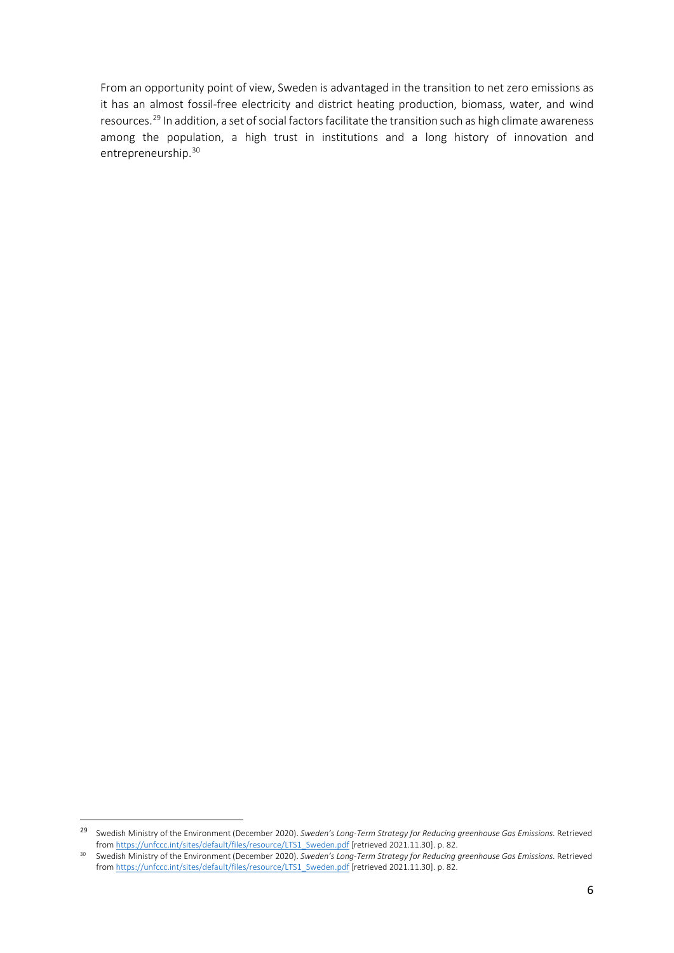From an opportunity point of view, Sweden is advantaged in the transition to net zero emissions as it has an almost fossil-free electricity and district heating production, biomass, water, and wind resources.[29](#page-5-0) In addition, a set of social factors facilitate the transition such as high climate awareness among the population, a high trust in institutions and a long history of innovation and entrepreneurship.<sup>30</sup>

<span id="page-5-0"></span><sup>29</sup> Swedish Ministry of the Environment (December 2020). *Sweden's Long-Term Strategy for Reducing greenhouse Gas Emissions.* Retrieved fro[m https://unfccc.int/sites/default/files/resource/LTS1\\_Sweden.pdf](https://unfccc.int/sites/default/files/resource/LTS1_Sweden.pdf) [retrieved 2021.11.30]. p. 82.

<span id="page-5-1"></span><sup>30</sup> Swedish Ministry of the Environment (December 2020). *Sweden's Long-Term Strategy for Reducing greenhouse Gas Emissions.* Retrieved fro[m https://unfccc.int/sites/default/files/resource/LTS1\\_Sweden.pdf](https://unfccc.int/sites/default/files/resource/LTS1_Sweden.pdf) [retrieved 2021.11.30]. p. 82.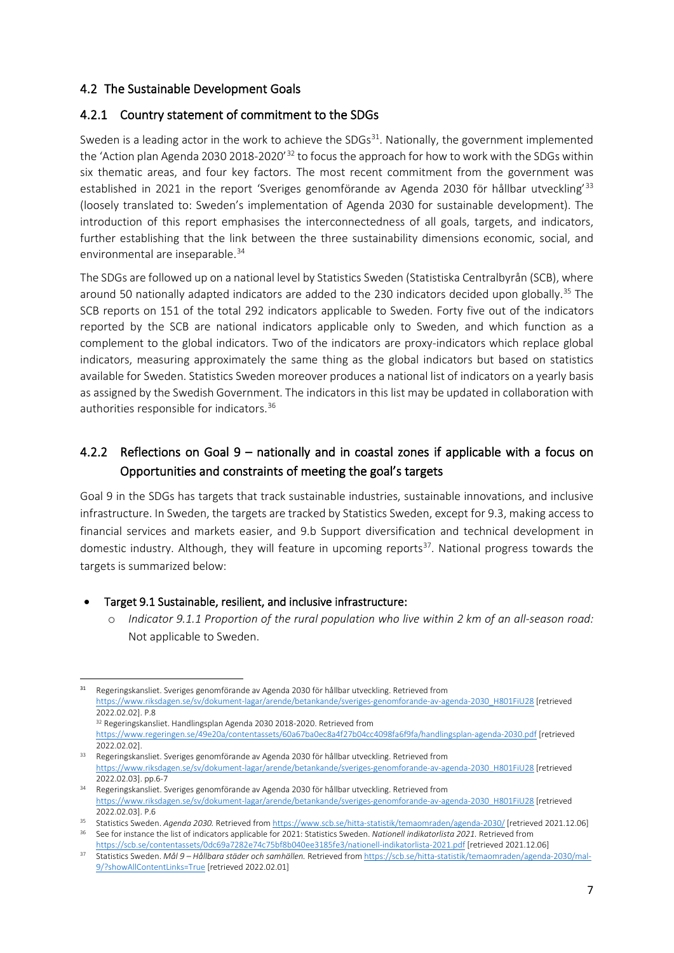### 4.2 The Sustainable Development Goals

### 4.2.1 Country statement of commitment to the SDGs

Sweden is a leading actor in the work to achieve the SDGs<sup>[31](#page-6-0)</sup>. Nationally, the government implemented the 'Action plan Agenda 2030 2018-2020'<sup>[32](#page-6-1)</sup> to focus the approach for how to work with the SDGs within six thematic areas, and four key factors. The most recent commitment from the government was established in 2021 in the report 'Sveriges genomförande av Agenda 2030 för hållbar utveckling<sup>[33](#page-6-2)</sup> (loosely translated to: Sweden's implementation of Agenda 2030 for sustainable development). The introduction of this report emphasises the interconnectedness of all goals, targets, and indicators, further establishing that the link between the three sustainability dimensions economic, social, and environmental are inseparable. [34](#page-6-3)

The SDGs are followed up on a national level by Statistics Sweden (Statistiska Centralbyrån (SCB), where around 50 nationally adapted indicators are added to the 230 indicators decided upon globally.<sup>[35](#page-6-4)</sup> The SCB reports on 151 of the total 292 indicators applicable to Sweden. Forty five out of the indicators reported by the SCB are national indicators applicable only to Sweden, and which function as a complement to the global indicators. Two of the indicators are proxy-indicators which replace global indicators, measuring approximately the same thing as the global indicators but based on statistics available for Sweden. Statistics Sweden moreover produces a national list of indicators on a yearly basis as assigned by the Swedish Government. The indicators in this list may be updated in collaboration with authorities responsible for indicators.[36](#page-6-5)

# 4.2.2 Reflections on Goal 9 – nationally and in coastal zones if applicable with a focus on Opportunities and constraints of meeting the goal's targets

Goal 9 in the SDGs has targets that track sustainable industries, sustainable innovations, and inclusive infrastructure. In Sweden, the targets are tracked by Statistics Sweden, except for 9.3, making access to financial services and markets easier, and 9.b Support diversification and technical development in domestic industry. Although, they will feature in upcoming reports $37$ . National progress towards the targets is summarized below:

- Target 9.1 Sustainable, resilient, and inclusive infrastructure:
	- o *Indicator 9.1.1 Proportion of the rural population who live within 2 km of an all-season road:*  Not applicable to Sweden.

<span id="page-6-0"></span><sup>31</sup> Regeringskansliet. Sveriges genomförande av Agenda 2030 för hållbar utveckling. Retrieved from [https://www.riksdagen.se/sv/dokument-lagar/arende/betankande/sveriges-genomforande-av-agenda-2030\\_H801FiU28](https://www.riksdagen.se/sv/dokument-lagar/arende/betankande/sveriges-genomforande-av-agenda-2030_H801FiU28) [retrieved 2022.02.02]. P.8

<sup>32</sup> Regeringskansliet. Handlingsplan Agenda 2030 2018-2020. Retrieved from

<https://www.regeringen.se/49e20a/contentassets/60a67ba0ec8a4f27b04cc4098fa6f9fa/handlingsplan-agenda-2030.pdf> [retrieved 2022.02.02].

<span id="page-6-2"></span><span id="page-6-1"></span><sup>33</sup> Regeringskansliet. Sveriges genomförande av Agenda 2030 för hållbar utveckling. Retrieved from [https://www.riksdagen.se/sv/dokument-lagar/arende/betankande/sveriges-genomforande-av-agenda-2030\\_H801FiU28](https://www.riksdagen.se/sv/dokument-lagar/arende/betankande/sveriges-genomforande-av-agenda-2030_H801FiU28) [retrieved 2022.02.03]. pp.6-7

<span id="page-6-3"></span><sup>34</sup> Regeringskansliet. Sveriges genomförande av Agenda 2030 för hållbar utveckling. Retrieved from [https://www.riksdagen.se/sv/dokument-lagar/arende/betankande/sveriges-genomforande-av-agenda-2030\\_H801FiU28](https://www.riksdagen.se/sv/dokument-lagar/arende/betankande/sveriges-genomforande-av-agenda-2030_H801FiU28) [retrieved 2022.02.03]. P.6

<span id="page-6-4"></span><sup>35</sup> Statistics Sweden. *Agenda 2030.* Retrieved fro[m https://www.scb.se/hitta-statistik/temaomraden/agenda-2030/](https://www.scb.se/hitta-statistik/temaomraden/agenda-2030/) [retrieved 2021.12.06] <sup>36</sup> See for instance the list of indicators applicable for 2021: Statistics Sweden. *Nationell indikatorlista 2021.* Retrieved from

<span id="page-6-6"></span><span id="page-6-5"></span><https://scb.se/contentassets/0dc69a7282e74c75bf8b040ee3185fe3/nationell-indikatorlista-2021.pdf> [retrieved 2021.12.06] <sup>37</sup> Statistics Sweden. *Mål 9 – Hållbara städer och samhällen.* Retrieved fro[m https://scb.se/hitta-statistik/temaomraden/agenda-2030/mal-](https://scb.se/hitta-statistik/temaomraden/agenda-2030/mal-9/?showAllContentLinks=True)[9/?showAllContentLinks=True](https://scb.se/hitta-statistik/temaomraden/agenda-2030/mal-9/?showAllContentLinks=True) [retrieved 2022.02.01]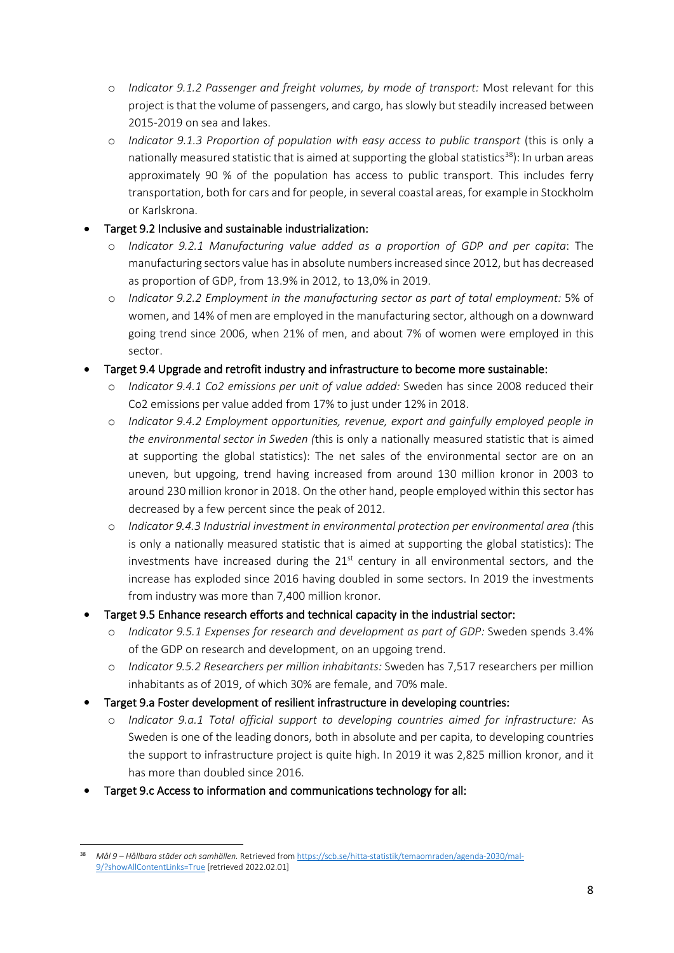- o *Indicator 9.1.2 Passenger and freight volumes, by mode of transport:* Most relevant for this project is that the volume of passengers, and cargo, has slowly but steadily increased between 2015-2019 on sea and lakes.
- o *Indicator 9.1.3 Proportion of population with easy access to public transport* (this is only a nationally measured statistic that is aimed at supporting the global statistics<sup>[38](#page-7-0)</sup>): In urban areas approximately 90 % of the population has access to public transport. This includes ferry transportation, both for cars and for people, in several coastal areas, for example in Stockholm or Karlskrona.

### • Target 9.2 Inclusive and sustainable industrialization:

- o *Indicator 9.2.1 Manufacturing value added as a proportion of GDP and per capita*: The manufacturing sectors value has in absolute numbers increased since 2012, but has decreased as proportion of GDP, from 13.9% in 2012, to 13,0% in 2019.
- o *Indicator 9.2.2 Employment in the manufacturing sector as part of total employment:* 5% of women, and 14% of men are employed in the manufacturing sector, although on a downward going trend since 2006, when 21% of men, and about 7% of women were employed in this sector.
- Target 9.4 Upgrade and retrofit industry and infrastructure to become more sustainable:
	- o *Indicator 9.4.1 Co2 emissions per unit of value added:* Sweden has since 2008 reduced their Co2 emissions per value added from 17% to just under 12% in 2018.
	- o *Indicator 9.4.2 Employment opportunities, revenue, export and gainfully employed people in the environmental sector in Sweden (*this is only a nationally measured statistic that is aimed at supporting the global statistics): The net sales of the environmental sector are on an uneven, but upgoing, trend having increased from around 130 million kronor in 2003 to around 230 million kronor in 2018. On the other hand, people employed within this sector has decreased by a few percent since the peak of 2012.
	- o *Indicator 9.4.3 Industrial investment in environmental protection per environmental area (*this is only a nationally measured statistic that is aimed at supporting the global statistics): The investments have increased during the  $21<sup>st</sup>$  century in all environmental sectors, and the increase has exploded since 2016 having doubled in some sectors. In 2019 the investments from industry was more than 7,400 million kronor.
- Target 9.5 Enhance research efforts and technical capacity in the industrial sector:
	- o *Indicator 9.5.1 Expenses for research and development as part of GDP:* Sweden spends 3.4% of the GDP on research and development, on an upgoing trend.
	- o *Indicator 9.5.2 Researchers per million inhabitants:* Sweden has 7,517 researchers per million inhabitants as of 2019, of which 30% are female, and 70% male.
- Target 9.a Foster development of resilient infrastructure in developing countries:
	- o *Indicator 9.a.1 Total official support to developing countries aimed for infrastructure:* As Sweden is one of the leading donors, both in absolute and per capita, to developing countries the support to infrastructure project is quite high. In 2019 it was 2,825 million kronor, and it has more than doubled since 2016.
- Target 9.c Access to information and communications technology for all:

<span id="page-7-0"></span><sup>38</sup> *Mål 9 – Hållbara städer och samhällen.* Retrieved fro[m https://scb.se/hitta-statistik/temaomraden/agenda-2030/mal-](https://scb.se/hitta-statistik/temaomraden/agenda-2030/mal-9/?showAllContentLinks=True)[9/?showAllContentLinks=True](https://scb.se/hitta-statistik/temaomraden/agenda-2030/mal-9/?showAllContentLinks=True) [retrieved 2022.02.01]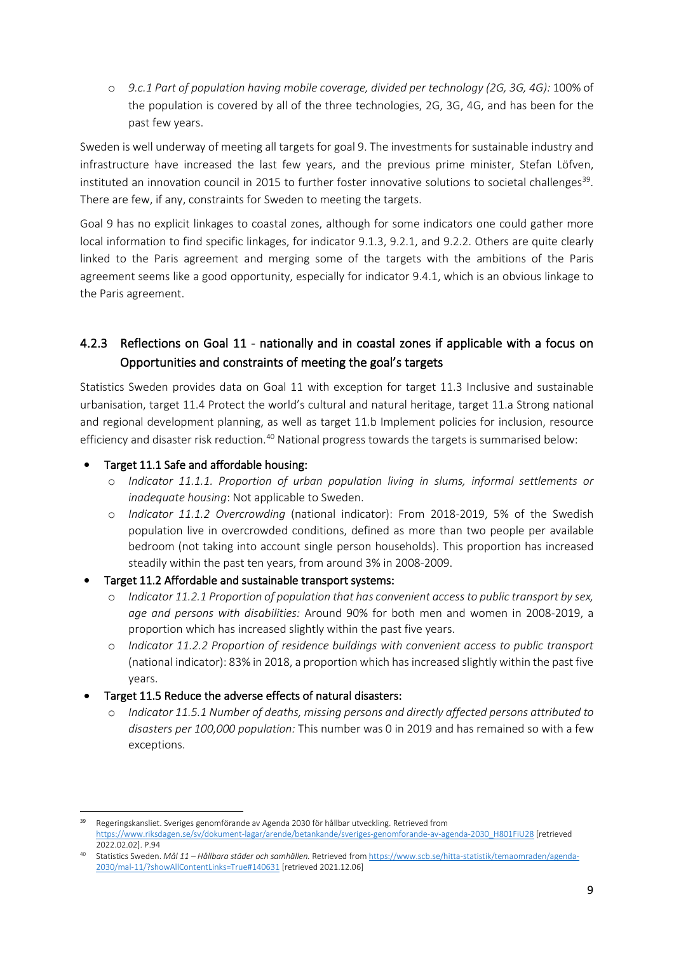o *9.c.1 Part of population having mobile coverage, divided per technology (2G, 3G, 4G):* 100% of the population is covered by all of the three technologies, 2G, 3G, 4G, and has been for the past few years.

Sweden is well underway of meeting all targets for goal 9. The investments for sustainable industry and infrastructure have increased the last few years, and the previous prime minister, Stefan Löfven, instituted an innovation council in 2015 to further foster innovative solutions to societal challenges<sup>39</sup>. There are few, if any, constraints for Sweden to meeting the targets.

Goal 9 has no explicit linkages to coastal zones, although for some indicators one could gather more local information to find specific linkages, for indicator 9.1.3, 9.2.1, and 9.2.2. Others are quite clearly linked to the Paris agreement and merging some of the targets with the ambitions of the Paris agreement seems like a good opportunity, especially for indicator 9.4.1, which is an obvious linkage to the Paris agreement.

# 4.2.3 Reflections on Goal 11 - nationally and in coastal zones if applicable with a focus on Opportunities and constraints of meeting the goal's targets

Statistics Sweden provides data on Goal 11 with exception for target 11.3 Inclusive and sustainable urbanisation, target 11.4 Protect the world's cultural and natural heritage, target 11.a Strong national and regional development planning, as well as target 11.b Implement policies for inclusion, resource efficiency and disaster risk reduction.<sup>[40](#page-8-1)</sup> National progress towards the targets is summarised below:

### • Target 11.1 Safe and affordable housing:

- o *Indicator 11.1.1. Proportion of urban population living in slums, informal settlements or inadequate housing*: Not applicable to Sweden.
- o *Indicator 11.1.2 Overcrowding* (national indicator): From 2018-2019, 5% of the Swedish population live in overcrowded conditions, defined as more than two people per available bedroom (not taking into account single person households). This proportion has increased steadily within the past ten years, from around 3% in 2008-2009.
- Target 11.2 Affordable and sustainable transport systems:
	- o *Indicator 11.2.1 Proportion of population that has convenient access to public transport by sex, age and persons with disabilities:* Around 90% for both men and women in 2008-2019, a proportion which has increased slightly within the past five years.
	- o *Indicator 11.2.2 Proportion of residence buildings with convenient access to public transport*  (national indicator): 83% in 2018, a proportion which has increased slightly within the past five years.
- Target 11.5 Reduce the adverse effects of natural disasters:
	- o *Indicator 11.5.1 Number of deaths, missing persons and directly affected persons attributed to disasters per 100,000 population:* This number was 0 in 2019 and has remained so with a few exceptions.

<span id="page-8-0"></span><sup>39</sup> Regeringskansliet. Sveriges genomförande av Agenda 2030 för hållbar utveckling. Retrieved from [https://www.riksdagen.se/sv/dokument-lagar/arende/betankande/sveriges-genomforande-av-agenda-2030\\_H801FiU28](https://www.riksdagen.se/sv/dokument-lagar/arende/betankande/sveriges-genomforande-av-agenda-2030_H801FiU28) [retrieved 2022.02.02]. P.94

<span id="page-8-1"></span><sup>40</sup> Statistics Sweden. *Mål 11 – Hållbara städer och samhällen.* Retrieved fro[m https://www.scb.se/hitta-statistik/temaomraden/agenda-](https://www.scb.se/hitta-statistik/temaomraden/agenda-2030/mal-11/?showAllContentLinks=True#140631)[2030/mal-11/?showAllContentLinks=True#140631](https://www.scb.se/hitta-statistik/temaomraden/agenda-2030/mal-11/?showAllContentLinks=True#140631) [retrieved 2021.12.06]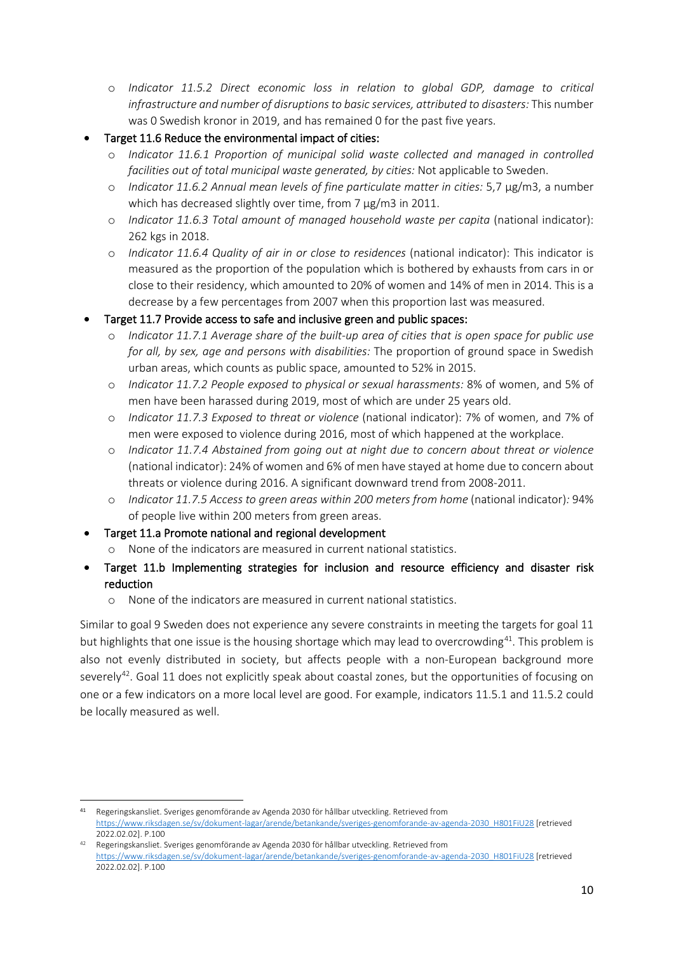- o *Indicator 11.5.2 Direct economic loss in relation to global GDP, damage to critical infrastructure and number of disruptions to basic services, attributed to disasters:* This number was 0 Swedish kronor in 2019, and has remained 0 for the past five years.
- Target 11.6 Reduce the environmental impact of cities:
	- o *Indicator 11.6.1 Proportion of municipal solid waste collected and managed in controlled facilities out of total municipal waste generated, by cities:* Not applicable to Sweden.
	- o *Indicator 11.6.2 Annual mean levels of fine particulate matter in cities:* 5,7 µg/m3, a number which has decreased slightly over time, from 7 µg/m3 in 2011.
	- o *Indicator 11.6.3 Total amount of managed household waste per capita* (national indicator): 262 kgs in 2018.
	- o *Indicator 11.6.4 Quality of air in or close to residences* (national indicator): This indicator is measured as the proportion of the population which is bothered by exhausts from cars in or close to their residency, which amounted to 20% of women and 14% of men in 2014. This is a decrease by a few percentages from 2007 when this proportion last was measured.
- Target 11.7 Provide access to safe and inclusive green and public spaces:
	- o *Indicator 11.7.1 Average share of the built-up area of cities that is open space for public use for all, by sex, age and persons with disabilities:* The proportion of ground space in Swedish urban areas, which counts as public space, amounted to 52% in 2015.
	- o *Indicator 11.7.2 People exposed to physical or sexual harassments:* 8% of women, and 5% of men have been harassed during 2019, most of which are under 25 years old.
	- o *Indicator 11.7.3 Exposed to threat or violence* (national indicator): 7% of women, and 7% of men were exposed to violence during 2016, most of which happened at the workplace.
	- o *Indicator 11.7.4 Abstained from going out at night due to concern about threat or violence*  (national indicator): 24% of women and 6% of men have stayed at home due to concern about threats or violence during 2016. A significant downward trend from 2008-2011.
	- o *Indicator 11.7.5 Access to green areas within 200 meters from home* (national indicator)*:* 94% of people live within 200 meters from green areas.
- Target 11.a Promote national and regional development
	- o None of the indicators are measured in current national statistics.
- Target 11.b Implementing strategies for inclusion and resource efficiency and disaster risk reduction
	- o None of the indicators are measured in current national statistics.

Similar to goal 9 Sweden does not experience any severe constraints in meeting the targets for goal 11 but highlights that one issue is the housing shortage which may lead to overcrowding<sup>41</sup>. This problem is also not evenly distributed in society, but affects people with a non-European background more severely<sup>42</sup>. Goal 11 does not explicitly speak about coastal zones, but the opportunities of focusing on one or a few indicators on a more local level are good. For example, indicators 11.5.1 and 11.5.2 could be locally measured as well.

<span id="page-9-0"></span><sup>41</sup> Regeringskansliet. Sveriges genomförande av Agenda 2030 för hållbar utveckling. Retrieved from [https://www.riksdagen.se/sv/dokument-lagar/arende/betankande/sveriges-genomforande-av-agenda-2030\\_H801FiU28](https://www.riksdagen.se/sv/dokument-lagar/arende/betankande/sveriges-genomforande-av-agenda-2030_H801FiU28) [retrieved 2022.02.02]. P.100

<span id="page-9-1"></span><sup>42</sup> Regeringskansliet. Sveriges genomförande av Agenda 2030 för hållbar utveckling. Retrieved from [https://www.riksdagen.se/sv/dokument-lagar/arende/betankande/sveriges-genomforande-av-agenda-2030\\_H801FiU28](https://www.riksdagen.se/sv/dokument-lagar/arende/betankande/sveriges-genomforande-av-agenda-2030_H801FiU28) [retrieved 2022.02.02]. P.100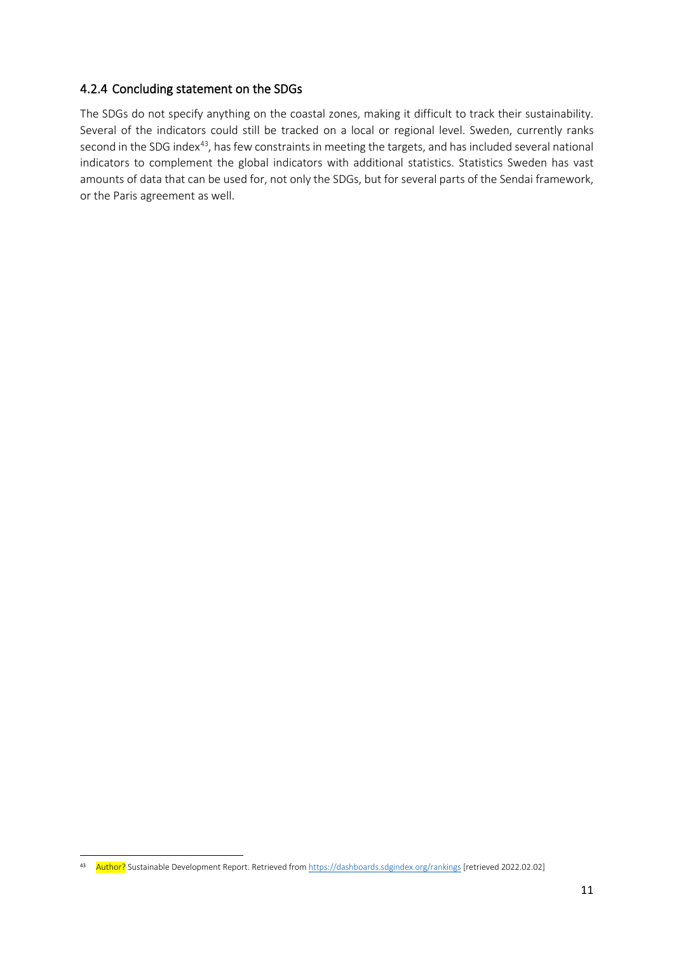### 4.2.4 Concluding statement on the SDGs

The SDGs do not specify anything on the coastal zones, making it difficult to track their sustainability. Several of the indicators could still be tracked on a local or regional level. Sweden, currently ranks second in the SDG index<sup>[43](#page-10-0)</sup>, has few constraints in meeting the targets, and has included several national indicators to complement the global indicators with additional statistics. Statistics Sweden has vast amounts of data that can be used for, not only the SDGs, but for several parts of the Sendai framework, or the Paris agreement as well.

<span id="page-10-0"></span><sup>43</sup> Author? Sustainable Development Report. Retrieved fro[m https://dashboards.sdgindex.org/rankings](https://dashboards.sdgindex.org/rankings) [retrieved 2022.02.02]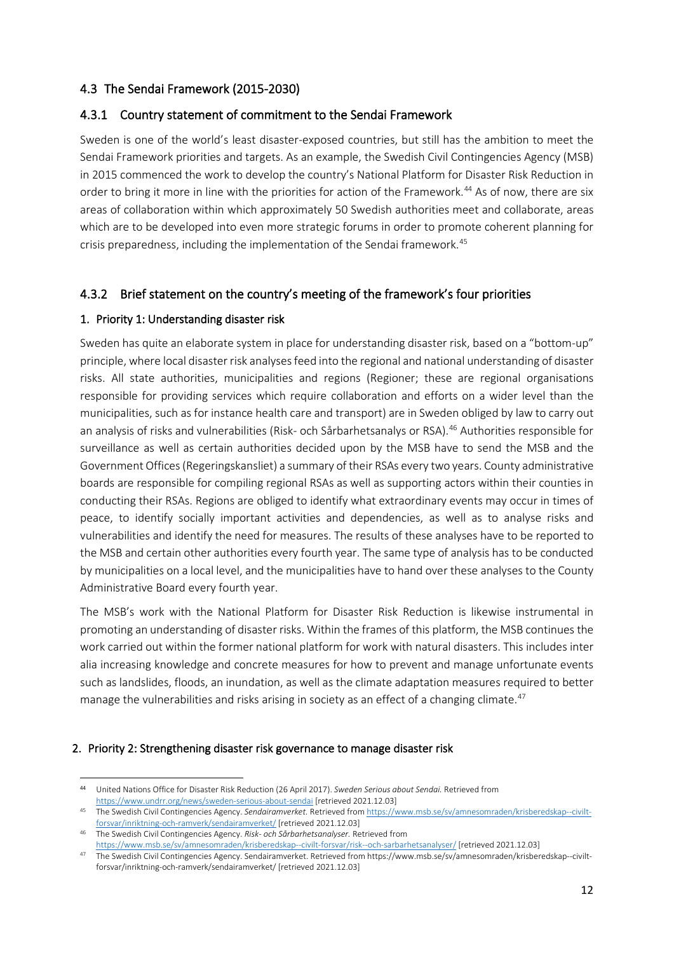### 4.3 The Sendai Framework (2015-2030)

### 4.3.1 Country statement of commitment to the Sendai Framework

Sweden is one of the world's least disaster-exposed countries, but still has the ambition to meet the Sendai Framework priorities and targets. As an example, the Swedish Civil Contingencies Agency (MSB) in 2015 commenced the work to develop the country's National Platform for Disaster Risk Reduction in order to bring it more in line with the priorities for action of the Framework.<sup>[44](#page-11-0)</sup> As of now, there are six areas of collaboration within which approximately 50 Swedish authorities meet and collaborate, areas which are to be developed into even more strategic forums in order to promote coherent planning for crisis preparedness, including the implementation of the Sendai framework.<sup>[45](#page-11-1)</sup>

## 4.3.2 Brief statement on the country's meeting of the framework's four priorities

### 1. Priority 1: Understanding disaster risk

Sweden has quite an elaborate system in place for understanding disaster risk, based on a "bottom-up" principle, where local disaster risk analyses feed into the regional and national understanding of disaster risks. All state authorities, municipalities and regions (Regioner; these are regional organisations responsible for providing services which require collaboration and efforts on a wider level than the municipalities, such as for instance health care and transport) are in Sweden obliged by law to carry out an analysis of risks and vulnerabilities (Risk- och Sårbarhetsanalys or RSA).[46](#page-11-2) Authorities responsible for surveillance as well as certain authorities decided upon by the MSB have to send the MSB and the Government Offices (Regeringskansliet) a summary of their RSAs every two years. County administrative boards are responsible for compiling regional RSAs as well as supporting actors within their counties in conducting their RSAs. Regions are obliged to identify what extraordinary events may occur in times of peace, to identify socially important activities and dependencies, as well as to analyse risks and vulnerabilities and identify the need for measures. The results of these analyses have to be reported to the MSB and certain other authorities every fourth year. The same type of analysis has to be conducted by municipalities on a local level, and the municipalities have to hand over these analyses to the County Administrative Board every fourth year.

The MSB's work with the National Platform for Disaster Risk Reduction is likewise instrumental in promoting an understanding of disaster risks. Within the frames of this platform, the MSB continues the work carried out within the former national platform for work with natural disasters. This includes inter alia increasing knowledge and concrete measures for how to prevent and manage unfortunate events such as landslides, floods, an inundation, as well as the climate adaptation measures required to better manage the vulnerabilities and risks arising in society as an effect of a changing climate.<sup>[47](#page-11-3)</sup>

#### 2. Priority 2: Strengthening disaster risk governance to manage disaster risk

<span id="page-11-0"></span><sup>44</sup> United Nations Office for Disaster Risk Reduction (26 April 2017). *Sweden Serious about Sendai.* Retrieved from <https://www.undrr.org/news/sweden-serious-about-sendai> [retrieved 2021.12.03]

<span id="page-11-1"></span><sup>45</sup> The Swedish Civil Contingencies Agency. *Sendairamverket.* Retrieved fro[m https://www.msb.se/sv/amnesomraden/krisberedskap--civilt](https://www.msb.se/sv/amnesomraden/krisberedskap--civilt-forsvar/inriktning-och-ramverk/sendairamverket/)[forsvar/inriktning-och-ramverk/sendairamverket/](https://www.msb.se/sv/amnesomraden/krisberedskap--civilt-forsvar/inriktning-och-ramverk/sendairamverket/) [retrieved 2021.12.03]

<span id="page-11-2"></span><sup>46</sup> The Swedish Civil Contingencies Agency. *Risk- och Sårbarhetsanalyser.* Retrieved from <https://www.msb.se/sv/amnesomraden/krisberedskap--civilt-forsvar/risk--och-sarbarhetsanalyser/> [retrieved 2021.12.03]

<span id="page-11-3"></span><sup>47</sup> The Swedish Civil Contingencies Agency. Sendairamverket. Retrieved from https://www.msb.se/sv/amnesomraden/krisberedskap--civiltforsvar/inriktning-och-ramverk/sendairamverket/ [retrieved 2021.12.03]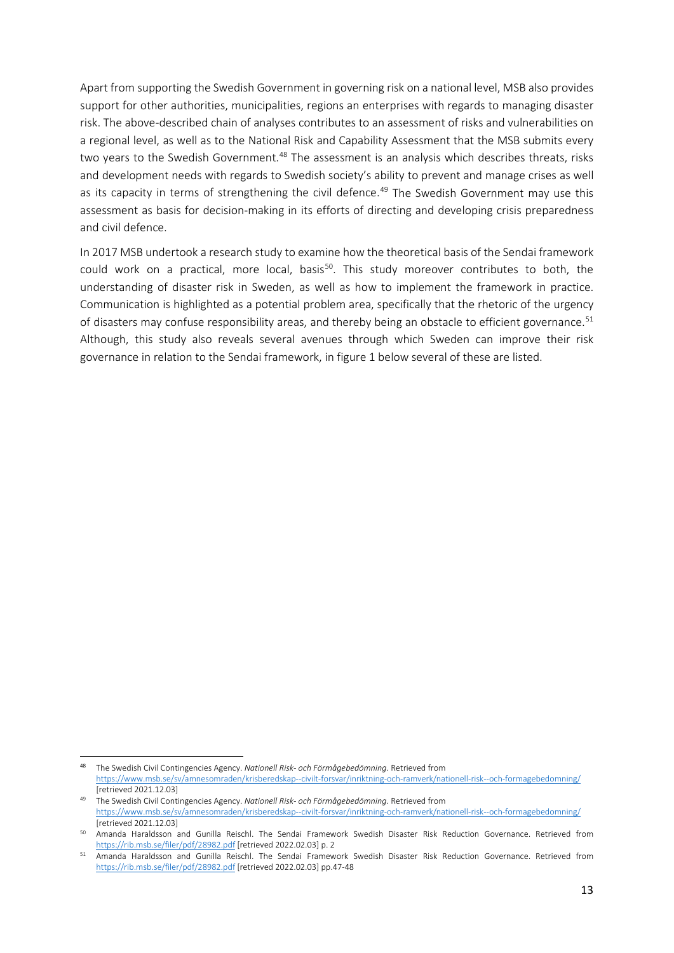Apart from supporting the Swedish Government in governing risk on a national level, MSB also provides support for other authorities, municipalities, regions an enterprises with regards to managing disaster risk. The above-described chain of analyses contributes to an assessment of risks and vulnerabilities on a regional level, as well as to the National Risk and Capability Assessment that the MSB submits every two years to the Swedish Government.<sup>[48](#page-12-0)</sup> The assessment is an analysis which describes threats, risks and development needs with regards to Swedish society's ability to prevent and manage crises as well as its capacity in terms of strengthening the civil defence.<sup>[49](#page-12-1)</sup> The Swedish Government may use this assessment as basis for decision-making in its efforts of directing and developing crisis preparedness and civil defence.

In 2017 MSB undertook a research study to examine how the theoretical basis of the Sendai framework could work on a practical, more local, basis<sup>[50](#page-12-2)</sup>. This study moreover contributes to both, the understanding of disaster risk in Sweden, as well as how to implement the framework in practice. Communication is highlighted as a potential problem area, specifically that the rhetoric of the urgency of disasters may confuse responsibility areas, and thereby being an obstacle to efficient governance.<sup>[51](#page-12-3)</sup> Although, this study also reveals several avenues through which Sweden can improve their risk governance in relation to the Sendai framework, in figure 1 below several of these are listed.

<span id="page-12-0"></span><sup>48</sup> The Swedish Civil Contingencies Agency. *Nationell Risk- och Förmågebedömning.* Retrieved from <https://www.msb.se/sv/amnesomraden/krisberedskap--civilt-forsvar/inriktning-och-ramverk/nationell-risk--och-formagebedomning/> [retrieved 2021.12.03]

<span id="page-12-1"></span><sup>49</sup> The Swedish Civil Contingencies Agency. *Nationell Risk- och Förmågebedömning.* Retrieved from <https://www.msb.se/sv/amnesomraden/krisberedskap--civilt-forsvar/inriktning-och-ramverk/nationell-risk--och-formagebedomning/> [retrieved 2021.12.03]

<span id="page-12-2"></span><sup>50</sup> Amanda Haraldsson and Gunilla Reischl. The Sendai Framework Swedish Disaster Risk Reduction Governance. Retrieved from <https://rib.msb.se/filer/pdf/28982.pdf> [retrieved 2022.02.03] p. 2

<span id="page-12-3"></span><sup>51</sup> Amanda Haraldsson and Gunilla Reischl. The Sendai Framework Swedish Disaster Risk Reduction Governance. Retrieved from <https://rib.msb.se/filer/pdf/28982.pdf> [retrieved 2022.02.03] pp.47-48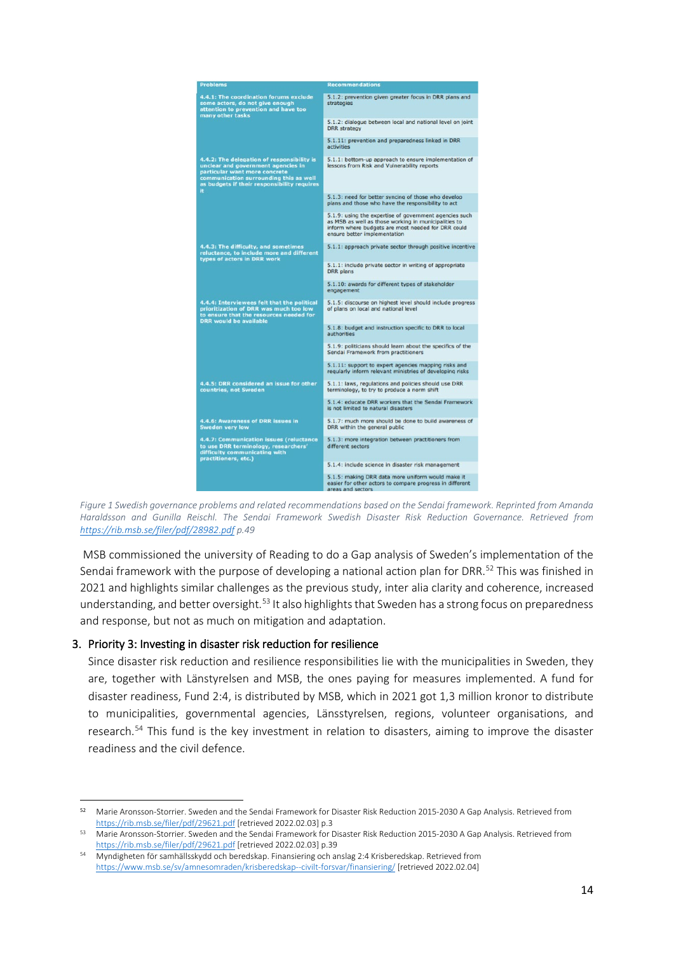| <b>Problems</b>                                                                                                                                                                                                   | <b>Recommendations</b>                                                                                                                                                                               |
|-------------------------------------------------------------------------------------------------------------------------------------------------------------------------------------------------------------------|------------------------------------------------------------------------------------------------------------------------------------------------------------------------------------------------------|
| 4.4.1: The coordination forums exclude<br>some actors, do not give enough<br>attention to prevention and have too<br>many other tasks                                                                             | 5.1.2: prevention given greater focus in DRR plans and<br>strategies                                                                                                                                 |
|                                                                                                                                                                                                                   | 5.1.2: dialogue between local and national level on joint<br><b>DRR</b> strategy                                                                                                                     |
|                                                                                                                                                                                                                   | 5.1.11: prevention and preparedness linked in DRR<br>activities                                                                                                                                      |
| 4.4.2: The delegation of responsibility is<br>unclear and government agencies in<br>particular want more concrete<br>communication surrounding this as well<br>as budgets if their responsibility requires<br>it. | 5.1.1: bottom-up approach to ensure implementation of<br>lessons from Risk and Vulnerability reports                                                                                                 |
|                                                                                                                                                                                                                   | 5.1.3: need for better syncing of those who develop<br>plans and those who have the responsibility to act                                                                                            |
|                                                                                                                                                                                                                   | 5.1.9: using the expertise of government agencies such<br>as MSB as well as those working in municipalities to<br>inform where budgets are most needed for DRR could<br>ensure better implementation |
| 4.4.3: The difficulty, and sometimes<br>reluctance, to include more and different<br>types of actors in DRR work                                                                                                  | 5.1.1: approach private sector through positive incentive                                                                                                                                            |
|                                                                                                                                                                                                                   | 5.1.1: include private sector in writing of appropriate<br><b>DRR</b> plans                                                                                                                          |
|                                                                                                                                                                                                                   | 5.1.10: awards for different types of stakeholder<br>engagement                                                                                                                                      |
| 4.4.4: Interviewees felt that the political<br>prioritization of DRR was much too low<br>to ensure that the resources needed for<br><b>DRR</b> would be available                                                 | 5.1.5: discourse on highest level should include progress<br>of plans on local and national level                                                                                                    |
|                                                                                                                                                                                                                   | 5.1.8: budget and instruction specific to DRR to local<br>authorities                                                                                                                                |
|                                                                                                                                                                                                                   | 5.1.9: politicians should learn about the specifics of the<br>Sendai Framework from practitioners                                                                                                    |
|                                                                                                                                                                                                                   | 5.1.11: support to expert agencies mapping risks and<br>regularly inform relevant ministries of developing risks                                                                                     |
| 4.4.5: DRR considered an issue for other<br>countries, not Sweden                                                                                                                                                 | 5.1.1: laws, regulations and policies should use DRR<br>terminology, to try to produce a norm shift                                                                                                  |
|                                                                                                                                                                                                                   | 5.1.4: educate DRR workers that the Sendai Framework<br>is not limited to natural disasters                                                                                                          |
| 4.4.6: Awareness of DRR issues in<br>Sweden very low                                                                                                                                                              | 5.1.7: much more should be done to build awareness of<br>DRR within the general public                                                                                                               |
| 4.4.7: Communication issues (reluctance<br>to use DRR terminology, researchers'<br>difficulty communicating with<br>practitioners, etc.)                                                                          | 5.1.3: more integration between practitioners from<br>different sectors                                                                                                                              |
|                                                                                                                                                                                                                   | 5.1.4: include science in disaster risk management                                                                                                                                                   |
|                                                                                                                                                                                                                   | 5.1.5: making DRR data more uniform would make it<br>easier for other actors to compare progress in different<br>areas and sectors                                                                   |

*Figure 1 Swedish governance problems and related recommendations based on the Sendai framework. Reprinted from Amanda Haraldsson and Gunilla Reischl. The Sendai Framework Swedish Disaster Risk Reduction Governance. Retrieved from <https://rib.msb.se/filer/pdf/28982.pdf> p.49*

MSB commissioned the university of Reading to do a Gap analysis of Sweden's implementation of the Sendai framework with the purpose of developing a national action plan for DRR.<sup>[52](#page-13-0)</sup> This was finished in 2021 and highlights similar challenges as the previous study, inter alia clarity and coherence, increased understanding, and better oversight.<sup>[53](#page-13-1)</sup> It also highlights that Sweden has a strong focus on preparedness and response, but not as much on mitigation and adaptation.

#### 3. Priority 3: Investing in disaster risk reduction for resilience

Since disaster risk reduction and resilience responsibilities lie with the municipalities in Sweden, they are, together with Länstyrelsen and MSB, the ones paying for measures implemented. A fund for disaster readiness, Fund 2:4, is distributed by MSB, which in 2021 got 1,3 million kronor to distribute to municipalities, governmental agencies, Länsstyrelsen, regions, volunteer organisations, and research.<sup>[54](#page-13-2)</sup> This fund is the key investment in relation to disasters, aiming to improve the disaster readiness and the civil defence.

<span id="page-13-0"></span><sup>52</sup> Marie Aronsson-Storrier. Sweden and the Sendai Framework for Disaster Risk Reduction 2015-2030 A Gap Analysis. Retrieved from <https://rib.msb.se/filer/pdf/29621.pdf> [retrieved 2022.02.03] p.3

<span id="page-13-1"></span><sup>53</sup> Marie Aronsson-Storrier. Sweden and the Sendai Framework for Disaster Risk Reduction 2015-2030 A Gap Analysis. Retrieved from <https://rib.msb.se/filer/pdf/29621.pdf> [retrieved 2022.02.03] p.39

<span id="page-13-2"></span><sup>54</sup> Myndigheten för samhällsskydd och beredskap. Finansiering och anslag 2:4 Krisberedskap. Retrieved from <https://www.msb.se/sv/amnesomraden/krisberedskap--civilt-forsvar/finansiering/> [retrieved 2022.02.04]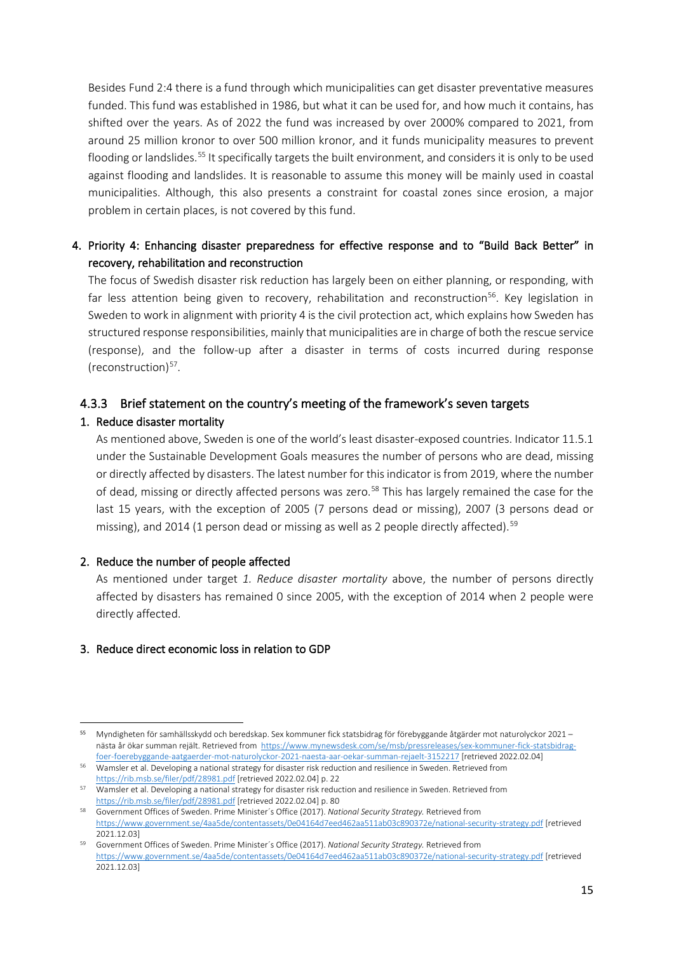Besides Fund 2:4 there is a fund through which municipalities can get disaster preventative measures funded. This fund was established in 1986, but what it can be used for, and how much it contains, has shifted over the years. As of 2022 the fund was increased by over 2000% compared to 2021, from around 25 million kronor to over 500 million kronor, and it funds municipality measures to prevent flooding or landslides.<sup>[55](#page-14-0)</sup> It specifically targets the built environment, and considers it is only to be used against flooding and landslides. It is reasonable to assume this money will be mainly used in coastal municipalities. Although, this also presents a constraint for coastal zones since erosion, a major problem in certain places, is not covered by this fund.

## 4. Priority 4: Enhancing disaster preparedness for effective response and to "Build Back Better" in recovery, rehabilitation and reconstruction

The focus of Swedish disaster risk reduction has largely been on either planning, or responding, with far less attention being given to recovery, rehabilitation and reconstruction<sup>[56](#page-14-1)</sup>. Key legislation in Sweden to work in alignment with priority 4 is the civil protection act, which explains how Sweden has structured response responsibilities, mainly that municipalities are in charge of both the rescue service (response), and the follow-up after a disaster in terms of costs incurred during response (reconstruction) $57$ .

### 4.3.3 Brief statement on the country's meeting of the framework's seven targets

#### 1. Reduce disaster mortality

As mentioned above, Sweden is one of the world's least disaster-exposed countries. Indicator 11.5.1 under the Sustainable Development Goals measures the number of persons who are dead, missing or directly affected by disasters. The latest number for this indicator is from 2019, where the number of dead, missing or directly affected persons was zero.<sup>[58](#page-14-3)</sup> This has largely remained the case for the last 15 years, with the exception of 2005 (7 persons dead or missing), 2007 (3 persons dead or missing), and 2014 (1 person dead or missing as well as 2 people directly affected).<sup>[59](#page-14-4)</sup>

#### 2. Reduce the number of people affected

As mentioned under target *1. Reduce disaster mortality* above, the number of persons directly affected by disasters has remained 0 since 2005, with the exception of 2014 when 2 people were directly affected.

### 3. Reduce direct economic loss in relation to GDP

<span id="page-14-0"></span><sup>55</sup> Myndigheten för samhällsskydd och beredskap. Sex kommuner fick statsbidrag för förebyggande åtgärder mot naturolyckor 2021 – nästa år ökar summan rejält. Retrieved from [https://www.mynewsdesk.com/se/msb/pressreleases/sex-kommuner-fick-statsbidrag-](https://www.mynewsdesk.com/se/msb/pressreleases/sex-kommuner-fick-statsbidrag-foer-foerebyggande-aatgaerder-mot-naturolyckor-2021-naesta-aar-oekar-summan-rejaelt-3152217)

<span id="page-14-1"></span>foer-foerebyggande-aatgaerder-mot-naturolyckor-2021-naesta-aar-oekar-summan-rejaelt-3152217 [\[](https://www.mynewsdesk.com/se/msb/pressreleases/sex-kommuner-fick-statsbidrag-foer-foerebyggande-aatgaerder-mot-naturolyckor-2021-naesta-aar-oekar-summan-rejaelt-3152217)retrieved 2022.02.04]<br><sup>56</sup> Wamsler et al. Developing a national strategy for disaster risk reduction and resilience in Sweden. Re <https://rib.msb.se/filer/pdf/28981.pdf> [retrieved 2022.02.04] p. 22

<span id="page-14-2"></span><sup>57</sup> Wamsler et al. Developing a national strategy for disaster risk reduction and resilience in Sweden. Retrieved from

<span id="page-14-3"></span>https://rib.msb.se/filer/pdf/28981.pdf [\[](https://rib.msb.se/filer/pdf/28981.pdf)retrieved 2022.02.04] p. 80<br>Government Offices of Sweden. Prime Minister's Office (2017). *National Security Strategy.* Retrieved from <https://www.government.se/4aa5de/contentassets/0e04164d7eed462aa511ab03c890372e/national-security-strategy.pdf> [retrieved 2021.12.03]

<span id="page-14-4"></span><sup>59</sup> Government Offices of Sweden. Prime Minister´s Office (2017). *National Security Strategy.* Retrieved from <https://www.government.se/4aa5de/contentassets/0e04164d7eed462aa511ab03c890372e/national-security-strategy.pdf> [retrieved 2021.12.03]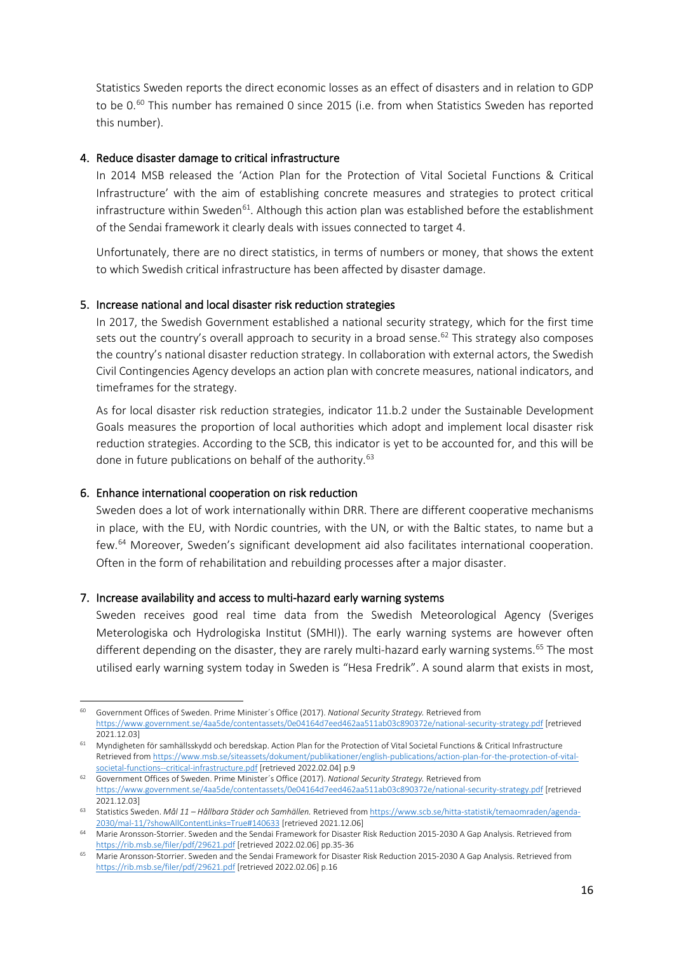Statistics Sweden reports the direct economic losses as an effect of disasters and in relation to GDP to be  $0.60$  $0.60$  This number has remained 0 since 2015 (i.e. from when Statistics Sweden has reported this number).

#### 4. Reduce disaster damage to critical infrastructure

In 2014 MSB released the 'Action Plan for the Protection of Vital Societal Functions & Critical Infrastructure' with the aim of establishing concrete measures and strategies to protect critical infrastructure within Sweden<sup>[61](#page-15-1)</sup>. Although this action plan was established before the establishment of the Sendai framework it clearly deals with issues connected to target 4.

Unfortunately, there are no direct statistics, in terms of numbers or money, that shows the extent to which Swedish critical infrastructure has been affected by disaster damage.

#### 5. Increase national and local disaster risk reduction strategies

In 2017, the Swedish Government established a national security strategy, which for the first time sets out the country's overall approach to security in a broad sense.<sup>[62](#page-15-2)</sup> This strategy also composes the country's national disaster reduction strategy. In collaboration with external actors, the Swedish Civil Contingencies Agency develops an action plan with concrete measures, national indicators, and timeframes for the strategy.

As for local disaster risk reduction strategies, indicator 11.b.2 under the Sustainable Development Goals measures the proportion of local authorities which adopt and implement local disaster risk reduction strategies. According to the SCB, this indicator is yet to be accounted for, and this will be done in future publications on behalf of the authority.<sup>[63](#page-15-3)</sup>

#### 6. Enhance international cooperation on risk reduction

Sweden does a lot of work internationally within DRR. There are different cooperative mechanisms in place, with the EU, with Nordic countries, with the UN, or with the Baltic states, to name but a few.<sup>[64](#page-15-4)</sup> Moreover, Sweden's significant development aid also facilitates international cooperation. Often in the form of rehabilitation and rebuilding processes after a major disaster.

#### 7. Increase availability and access to multi-hazard early warning systems

Sweden receives good real time data from the Swedish Meteorological Agency (Sveriges Meterologiska och Hydrologiska Institut (SMHI)). The early warning systems are however often different depending on the disaster, they are rarely multi-hazard early warning systems.<sup>[65](#page-15-5)</sup> The most utilised early warning system today in Sweden is "Hesa Fredrik". A sound alarm that exists in most,

<span id="page-15-0"></span><sup>60</sup> Government Offices of Sweden. Prime Minister´s Office (2017). *National Security Strategy.* Retrieved from <https://www.government.se/4aa5de/contentassets/0e04164d7eed462aa511ab03c890372e/national-security-strategy.pdf> [retrieved 2021.12.03]

<span id="page-15-1"></span><sup>61</sup> Myndigheten för samhällsskydd och beredskap. Action Plan for the Protection of Vital Societal Functions & Critical Infrastructure Retrieved fro[m https://www.msb.se/siteassets/dokument/publikationer/english-publications/action-plan-for-the-protection-of-vital](https://www.msb.se/siteassets/dokument/publikationer/english-publications/action-plan-for-the-protection-of-vital-societal-functions--critical-infrastructure.pdf)[societal-functions--critical-infrastructure.pdf](https://www.msb.se/siteassets/dokument/publikationer/english-publications/action-plan-for-the-protection-of-vital-societal-functions--critical-infrastructure.pdf) [retrieved 2022.02.04] p.9

<span id="page-15-2"></span><sup>62</sup> Government Offices of Sweden. Prime Minister´s Office (2017). *National Security Strategy.* Retrieved from <https://www.government.se/4aa5de/contentassets/0e04164d7eed462aa511ab03c890372e/national-security-strategy.pdf> [retrieved 2021.12.03]

<span id="page-15-3"></span><sup>63</sup> Statistics Sweden. *Mål 11 – Hållbara Städer och Samhällen.* Retrieved fro[m https://www.scb.se/hitta-statistik/temaomraden/agenda-](https://www.scb.se/hitta-statistik/temaomraden/agenda-2030/mal-11/?showAllContentLinks=True#140633)[2030/mal-11/?showAllContentLinks=True#140633](https://www.scb.se/hitta-statistik/temaomraden/agenda-2030/mal-11/?showAllContentLinks=True#140633) [retrieved 2021.12.06]

<span id="page-15-4"></span><sup>64</sup> Marie Aronsson-Storrier. Sweden and the Sendai Framework for Disaster Risk Reduction 2015-2030 A Gap Analysis. Retrieved from <https://rib.msb.se/filer/pdf/29621.pdf> [retrieved 2022.02.06] pp.35-36

<span id="page-15-5"></span><sup>65</sup> Marie Aronsson-Storrier. Sweden and the Sendai Framework for Disaster Risk Reduction 2015-2030 A Gap Analysis. Retrieved from <https://rib.msb.se/filer/pdf/29621.pdf> [retrieved 2022.02.06] p.16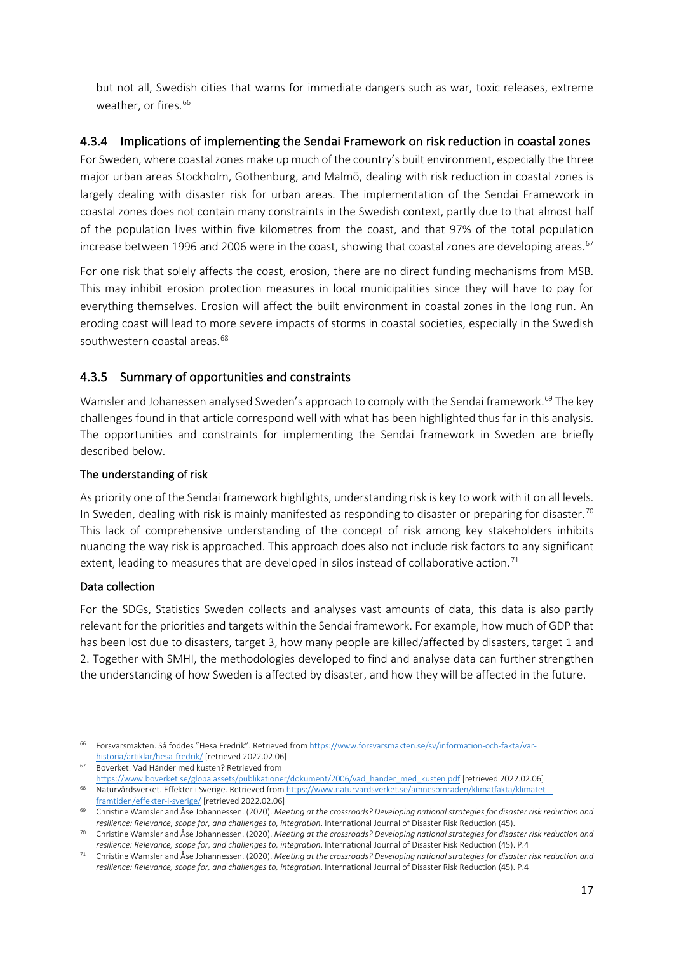but not all, Swedish cities that warns for immediate dangers such as war, toxic releases, extreme weather, or fires. [66](#page-16-0)

### 4.3.4 Implications of implementing the Sendai Framework on risk reduction in coastal zones

For Sweden, where coastal zones make up much of the country's built environment, especially the three major urban areas Stockholm, Gothenburg, and Malmö, dealing with risk reduction in coastal zones is largely dealing with disaster risk for urban areas. The implementation of the Sendai Framework in coastal zones does not contain many constraints in the Swedish context, partly due to that almost half of the population lives within five kilometres from the coast, and that 97% of the total population increase between 1996 and 2006 were in the coast, showing that coastal zones are developing areas.<sup>[67](#page-16-1)</sup>

For one risk that solely affects the coast, erosion, there are no direct funding mechanisms from MSB. This may inhibit erosion protection measures in local municipalities since they will have to pay for everything themselves. Erosion will affect the built environment in coastal zones in the long run. An eroding coast will lead to more severe impacts of storms in coastal societies, especially in the Swedish southwestern coastal areas.<sup>[68](#page-16-2)</sup>

# 4.3.5 Summary of opportunities and constraints

Wamsler and Johanessen analysed Sweden's approach to comply with the Sendai framework.<sup>[69](#page-16-3)</sup> The key challenges found in that article correspond well with what has been highlighted thus far in this analysis. The opportunities and constraints for implementing the Sendai framework in Sweden are briefly described below.

### The understanding of risk

As priority one of the Sendai framework highlights, understanding risk is key to work with it on all levels. In Sweden, dealing with risk is mainly manifested as responding to disaster or preparing for disaster.<sup>[70](#page-16-4)</sup> This lack of comprehensive understanding of the concept of risk among key stakeholders inhibits nuancing the way risk is approached. This approach does also not include risk factors to any significant extent, leading to measures that are developed in silos instead of collaborative action.<sup>[71](#page-16-5)</sup>

#### Data collection

For the SDGs, Statistics Sweden collects and analyses vast amounts of data, this data is also partly relevant for the priorities and targets within the Sendai framework. For example, how much of GDP that has been lost due to disasters, target 3, how many people are killed/affected by disasters, target 1 and 2. Together with SMHI, the methodologies developed to find and analyse data can further strengthen the understanding of how Sweden is affected by disaster, and how they will be affected in the future.

<span id="page-16-0"></span><sup>&</sup>lt;sup>66</sup> Försvarsmakten. Så föddes "Hesa Fredrik". Retrieved fro[m https://www.forsvarsmakten.se/sv/information-och-fakta/var](https://www.forsvarsmakten.se/sv/information-och-fakta/var-historia/artiklar/hesa-fredrik/)[historia/artiklar/hesa-fredrik/](https://www.forsvarsmakten.se/sv/information-och-fakta/var-historia/artiklar/hesa-fredrik/) [retrieved 2022.02.06]

<span id="page-16-1"></span><sup>67</sup> Boverket. Vad Händer med kusten? Retrieved from

<span id="page-16-2"></span>[https://www.boverket.se/globalassets/publikationer/dokument/2006/vad\\_hander\\_med\\_kusten.pdf](https://www.boverket.se/globalassets/publikationer/dokument/2006/vad_hander_med_kusten.pdf) [retrieved 2022.02.06] <sup>68</sup> Naturvårdsverket. Effekter i Sverige. Retrieved fro[m https://www.naturvardsverket.se/amnesomraden/klimatfakta/klimatet-i-](https://www.naturvardsverket.se/amnesomraden/klimatfakta/klimatet-i-framtiden/effekter-i-sverige/)

[framtiden/effekter-i-sverige/](https://www.naturvardsverket.se/amnesomraden/klimatfakta/klimatet-i-framtiden/effekter-i-sverige/) [retrieved 2022.02.06]

<span id="page-16-3"></span><sup>69</sup> Christine Wamsler and Åse Johannessen. (2020). *Meeting at the crossroads? Developing national strategies for disaster risk reduction and resilience: Relevance, scope for, and challenges to, integration*. International Journal of Disaster Risk Reduction (45).

<span id="page-16-4"></span><sup>70</sup> Christine Wamsler and Åse Johannessen. (2020). *Meeting at the crossroads? Developing national strategies for disaster risk reduction and resilience: Relevance, scope for, and challenges to, integration*. International Journal of Disaster Risk Reduction (45). P.4

<span id="page-16-5"></span><sup>71</sup> Christine Wamsler and Åse Johannessen. (2020). *Meeting at the crossroads? Developing national strategies for disaster risk reduction and resilience: Relevance, scope for, and challenges to, integration*. International Journal of Disaster Risk Reduction (45). P.4